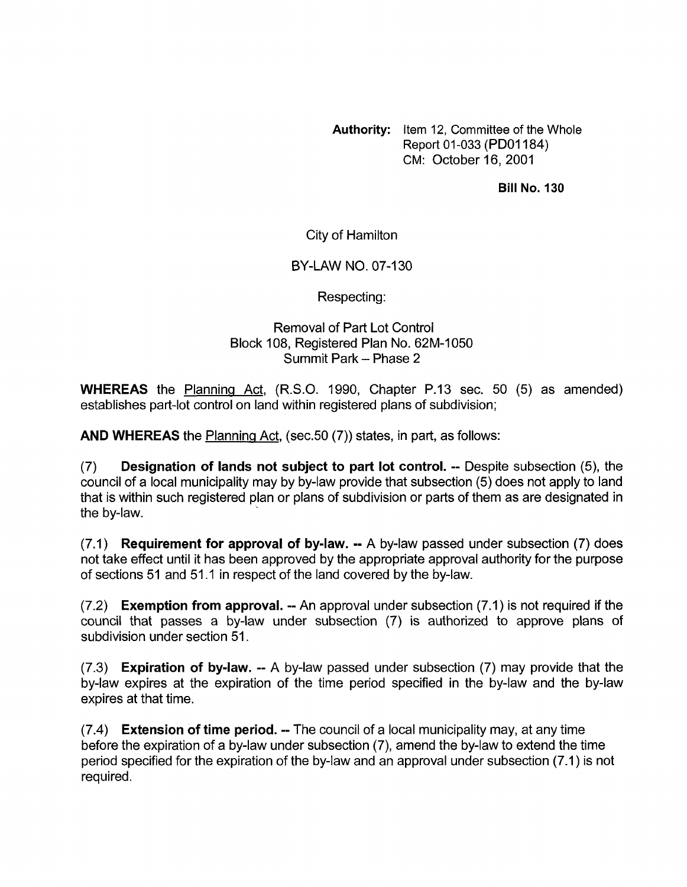**Authority:** item 12, Committee of the Whole Report 01-033 (PDOI 184) CM: October 16,2001

**Bill No. 130** 

City of Hamilton

BY-LAW NO. 07-130

Respecting:

## Removal of Part Lot Control Block 108, Registered Plan No. 62M-1050 Summit Park - Phase 2

**WHEREAS** the Planning Act, (R.S.O. 1990, Chapter P.13 sec. 50 (5) as amended) establishes part-lot control on land within registered plans of subdivision;

**AND WHEREAS** the Planninq Act, (sec.50 (7)) states, in part, as follows:

**(7) Designation of lands not subject to part lot control.** -- Despite subsection (5), the council of a local municipality may by by-law provide that subsection (5) does not apply to land that is within such registered plan or plans of subdivision or parts of them as are designated in the by-law.

(7.1) **Requirement for approval of bylaw.** -- A by-law passed under subsection (7) does not take effect until it has been approved by the appropriate approval authority for the purpose of sections 51 and 51.1 in respect of the land covered by the by-law.

(7.2) **Exemption from approval.** -- An approval under subsection (7.1) is not required if the council that passes a by-law under subsection (7) is authorized to approve plans of subdivision under section 51.

(7.3) **Expiration of bylaw.** -- A by-law passed under subsection (7) may provide that the by-law expires at the expiration of the time period specified in the by-law and the by-law expires at that time.

(7.4) **Extension of time period.** -- The council of a local municipality may, at any time before the expiration of a by-law under subsection (7), amend the by-law to extend the time period specified for the expiration of the by-law and an approval under subsection (7.1) is not required.